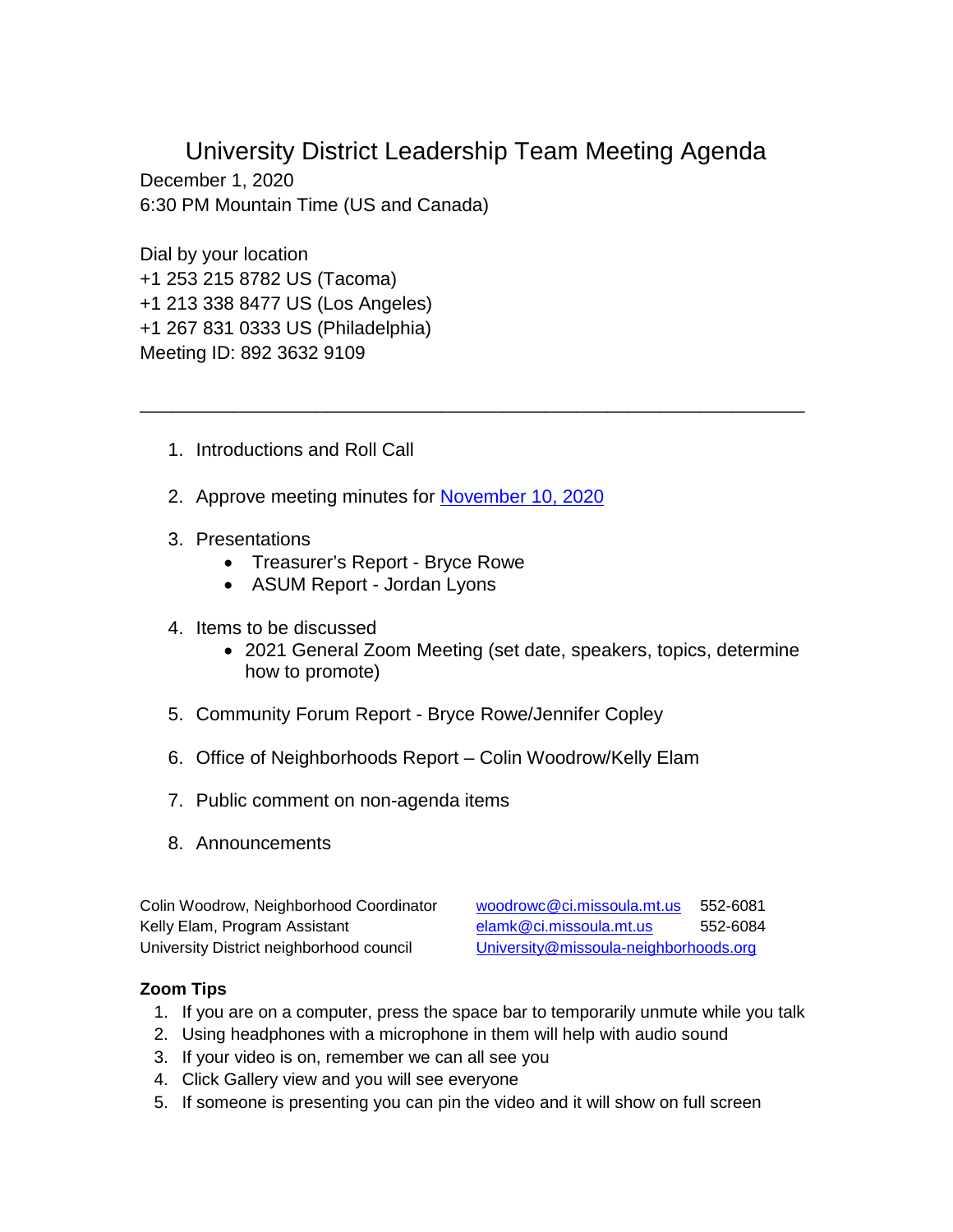University District Leadership Team Meeting Agenda

\_\_\_\_\_\_\_\_\_\_\_\_\_\_\_\_\_\_\_\_\_\_\_\_\_\_\_\_\_\_\_\_\_\_\_\_\_\_\_\_\_\_\_\_\_\_\_\_\_\_\_\_\_\_\_\_\_\_\_\_\_\_\_\_

December 1, 2020 6:30 PM Mountain Time (US and Canada)

Dial by your location +1 253 215 8782 US (Tacoma) +1 213 338 8477 US (Los Angeles) +1 267 831 0333 US (Philadelphia) Meeting ID: 892 3632 9109

- 1. Introductions and Roll Call
- 2. Approve meeting minutes for [November 10, 2020](https://www.ci.missoula.mt.us/Archive.aspx?ADID=15563)
- 3. Presentations
	- Treasurer's Report Bryce Rowe
	- ASUM Report Jordan Lyons
- 4. Items to be discussed
	- 2021 General Zoom Meeting (set date, speakers, topics, determine how to promote)
- 5. Community Forum Report Bryce Rowe/Jennifer Copley
- 6. Office of Neighborhoods Report Colin Woodrow/Kelly Elam
- 7. Public comment on non-agenda items
- 8. Announcements

Colin Woodrow, Neighborhood Coordinator [woodrowc@ci.missoula.mt.us](mailto:woodrowc@ci.missoula.mt.us) 552-6081

Kelly Elam, Program Assistant [elamk@ci.missoula.mt.us](mailto:elamk@ci.missoula.mt.us) 552-6084 University District neighborhood council [University@missoula-neighborhoods.org](mailto:University@missoula-neighborhoods.org)

## **Zoom Tips**

- 1. If you are on a computer, press the space bar to temporarily unmute while you talk
- 2. Using headphones with a microphone in them will help with audio sound
- 3. If your video is on, remember we can all see you
- 4. Click Gallery view and you will see everyone
- 5. If someone is presenting you can pin the video and it will show on full screen